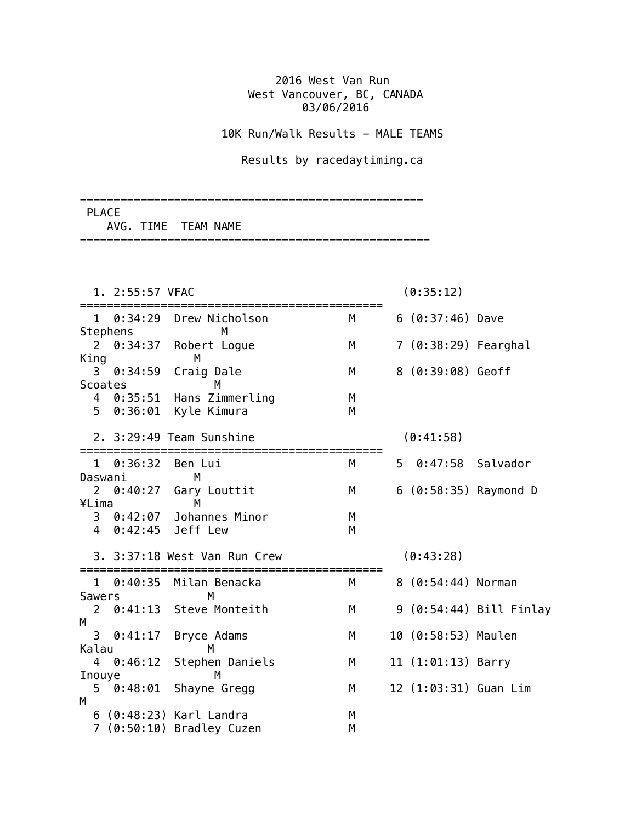## 2016 West Van Run West Vancouver, BC, CANADA 03/06/2016

10K Run/Walk Results - MALE TEAMS

Results by racedaytiming.ca

--------------------------------------------------- PLACE

 AVG. TIME TEAM NAME ----------------------------------------------------

|                     | 1. 2:55:57 VFAC         |                              |   |   | (0:35:12)             |                         |
|---------------------|-------------------------|------------------------------|---|---|-----------------------|-------------------------|
| 1.                  | 0:34:29                 | Drew Nicholson               | M |   | $6(0:37:46)$ Dave     |                         |
|                     | Stephens                | М                            |   |   |                       |                         |
| $2^{\circ}$<br>King | 0:34:37                 | Robert Logue<br>М            | М |   | 7 (0:38:29) Fearghal  |                         |
| 3                   | 0:34:59                 | Craig Dale                   | М |   | 8 (0:39:08) Geoff     |                         |
|                     | Scoates                 | М                            |   |   |                       |                         |
|                     |                         | 4 0:35:51 Hans Zimmerling    | М |   |                       |                         |
| 5                   | 0:36:01                 | Kyle Kimura                  | M |   |                       |                         |
|                     |                         |                              |   |   |                       |                         |
|                     |                         | 2. 3:29:49 Team Sunshine     |   |   | (0:41:58)             |                         |
|                     | 0:36:32<br>$\mathbf{1}$ | Ben Lui                      | М | 5 |                       | $0:47:58$ Salvador      |
|                     | Daswani                 | M                            |   |   |                       |                         |
|                     | 0:40:27                 | Gary Louttit                 | M |   |                       | 6 (0:58:35) Raymond D   |
| ¥Lima               |                         | M                            |   |   |                       |                         |
|                     |                         | 3 0:42:07 Johannes Minor     | M |   |                       |                         |
| 4                   |                         | 0:42:45 Jeff Lew             |   |   |                       |                         |
|                     |                         |                              | М |   |                       |                         |
|                     |                         | 3. 3:37:18 West Van Run Crew |   |   | (0:43:28)             |                         |
|                     | 0:40:35<br>$\mathbf{1}$ | Milan Benacka                | М |   | 8 (0:54:44) Norman    |                         |
| Sawers              |                         | М                            |   |   |                       |                         |
| $\overline{2}$      |                         | 0:41:13 Steve Monteith       | M |   |                       | 9 (0:54:44) Bill Finlay |
| Μ                   |                         |                              |   |   |                       |                         |
| 3.                  | 0:41:17                 | Bryce Adams                  | M |   | 10 (0:58:53) Maulen   |                         |
| Kalau               |                         | M                            |   |   |                       |                         |
|                     |                         |                              |   |   |                       |                         |
|                     | 40:46:12                | Stephen Daniels              | M |   | 11 (1:01:13) Barry    |                         |
| Inouye              |                         | M                            |   |   |                       |                         |
| 5                   | 0:48:01                 | Shayne Gregg                 | M |   | 12 (1:03:31) Guan Lim |                         |
| M                   |                         |                              |   |   |                       |                         |
|                     |                         | 6 (0:48:23) Karl Landra      | М |   |                       |                         |
|                     |                         | 7 (0:50:10) Bradley Cuzen    | М |   |                       |                         |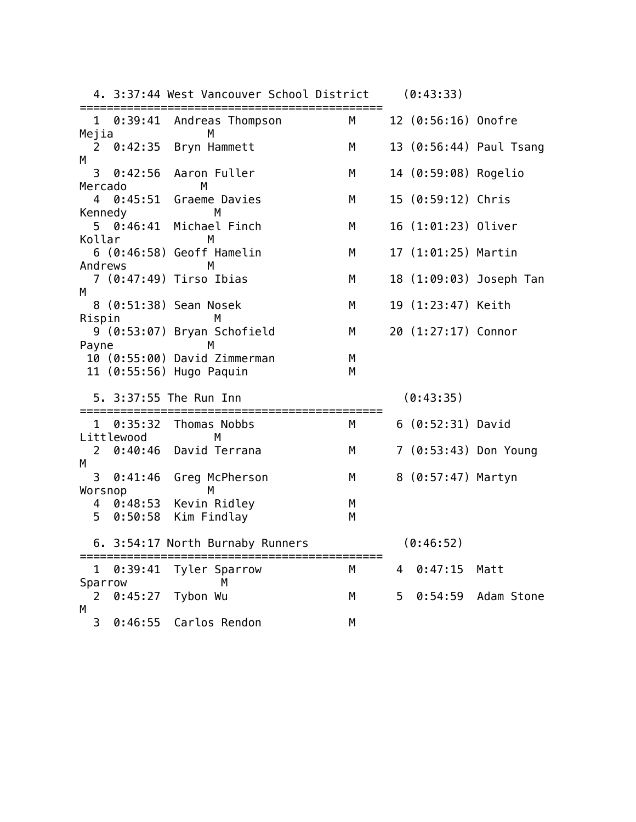| 4. 3:37:44 West Vancouver School District<br>===============           |        |    | (0:43:33)             |                         |
|------------------------------------------------------------------------|--------|----|-----------------------|-------------------------|
| 0:39:41<br>Andreas Thompson<br>1<br>М                                  | М      |    | 12 (0:56:16) Onofre   |                         |
| Mejia<br>2<br>0:42:35<br>Bryn Hammett<br>М                             | М      |    |                       | 13 (0:56:44) Paul Tsang |
| 3<br>0:42:56<br>Aaron Fuller                                           | M      |    | 14 (0:59:08) Rogelio  |                         |
| Mercado<br>М<br>4 0:45:51<br>Graeme Davies                             | M      |    | 15 (0:59:12) Chris    |                         |
| М<br>Kennedy<br>0:46:41<br>Michael Finch<br>5<br>Kollar                | М      |    | 16 (1:01:23) Oliver   |                         |
| М<br>$6$ (0:46:58) Geoff Hamelin                                       | M      |    | 17 (1:01:25) Martin   |                         |
| Andrews<br>M<br>7 (0:47:49) Tirso Ibias                                | М      |    |                       | 18 (1:09:03) Joseph Tan |
| M<br>8 (0:51:38) Sean Nosek                                            | M      |    | 19 (1:23:47) Keith    |                         |
| Rispin<br>М<br>9 (0:53:07) Bryan Schofield                             | М      |    | 20 (1:27:17) Connor   |                         |
| М<br>Payne<br>10 (0:55:00) David Zimmerman<br>11 (0:55:56) Hugo Paquin | М<br>M |    |                       |                         |
| 5. 3:37:55 The Run Inn                                                 |        |    | (0:43:35)             |                         |
| 0:35:32<br>Thomas Nobbs<br>$\mathbf{1}$<br>Littlewood<br>М             | М      |    | $6(0:52:31)$ David    |                         |
| 0:40:46 David Terrana<br>2<br>М                                        | М      |    | 7 (0:53:43) Don Young |                         |
| 3<br>0:41:46<br>Greg McPherson<br>Worsnop<br>М                         | М      |    | 8 (0:57:47) Martyn    |                         |
| Kevin Ridley<br>4<br>0:48:53<br>5<br>0:50:58<br>Kim Findlay            | М<br>M |    |                       |                         |
| 6. 3:54:17 North Burnaby Runners<br>===============================    |        |    | (0:46:52)             |                         |
| ================<br>1 0:39:41 Tyler Sparrow                            | M      | 4  | 0:47:15               | Matt                    |
| Sparrow<br>м<br>2<br>0:45:27<br>Tybon Wu<br>M                          | М      | 5. | 0:54:59               | Adam Stone              |
| Carlos Rendon<br>3<br>0:46:55                                          | М      |    |                       |                         |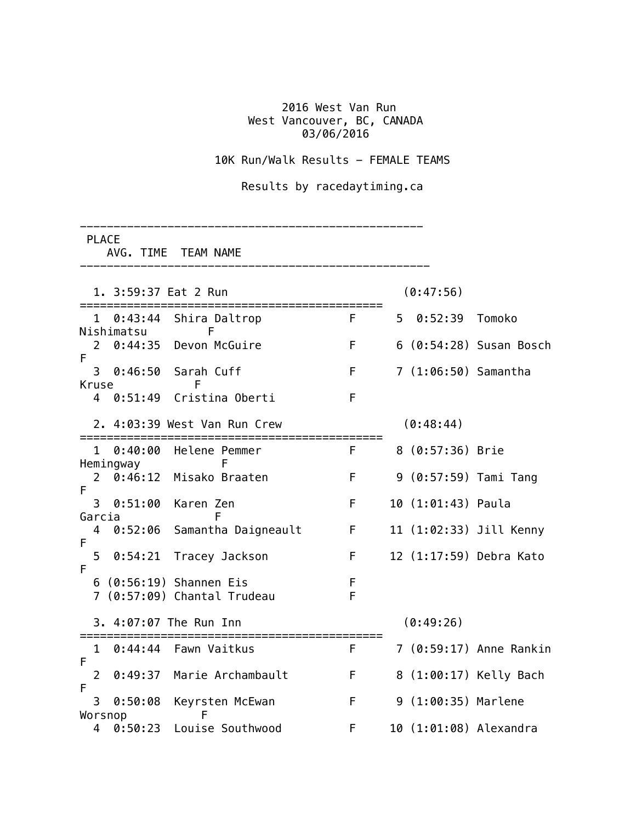## 2016 West Van Run West Vancouver, BC, CANADA 03/06/2016

## 10K Run/Walk Results - FEMALE TEAMS

## Results by racedaytiming.ca

|                  | <b>PLACE</b> |                      | AVG. TIME TEAM NAME                                       |                                                |                        |                           |
|------------------|--------------|----------------------|-----------------------------------------------------------|------------------------------------------------|------------------------|---------------------------|
|                  |              | 1. 3:59:37 Eat 2 Run |                                                           |                                                | (0:47:56)              |                           |
| F                |              |                      | 1 0:43:44 Shira Daltrop                                   | F 5 0:52:39 Tomoko                             |                        |                           |
|                  |              | Nishimatsu F         | 2 0:44:35 Devon McGuire                                   |                                                |                        | F 6 (0:54:28) Susan Bosch |
|                  |              |                      | 3 0:46:50 Sarah Cuff<br>F                                 | $F \sim 1$                                     | 7 (1:06:50) Samantha   |                           |
|                  |              | Kruse                | 4 0:51:49 Cristina Oberti                                 | F                                              |                        |                           |
|                  |              |                      | 2. 4:03:39 West Van Run Crew                              |                                                | (0:48:44)              |                           |
|                  |              |                      | 1 0:40:00 Helene Pemmer                                   | ====================<br>F 8 (0:57:36) Brie     |                        |                           |
| F.               |              |                      | Hemingway F<br>2 0:46:12 Misako Braaten                   | $\mathsf{F}$ and $\mathsf{F}$ and $\mathsf{F}$ | 9 (0:57:59) Tami Tang  |                           |
|                  |              | Garcia F             | 3 0:51:00 Karen Zen                                       | F <sub>11</sub>                                | 10 (1:01:43) Paula     |                           |
|                  |              |                      | 4 0:52:06 Samantha Daigneault                             | $\mathsf{F}$ and $\mathsf{F}$ and $\mathsf{F}$ |                        | 11 (1:02:33) Jill Kenny   |
| $\mathsf F$<br>F |              |                      | 5 0:54:21 Tracey Jackson                                  |                                                |                        | F 12 (1:17:59) Debra Kato |
|                  |              |                      | 6 (0:56:19) Shannen Eis<br>7 (0:57:09) Chantal Trudeau    | F<br>$\mathsf{F}$                              |                        |                           |
|                  |              |                      | 3. 4:07:07 The Run Inn<br>;============================== |                                                | (0:49:26)              |                           |
|                  |              |                      | 1 0:44:44 Fawn Vaitkus                                    |                                                |                        | F 7 (0:59:17) Anne Rankin |
| F<br>F           |              |                      | 2 0:49:37 Marie Archambault                               | <b>Contract Figure 1</b>                       |                        | 8 (1:00:17) Kelly Bach    |
|                  |              | Worsnop              | 3 0:50:08 Keyrsten McEwan<br>F                            | $F = 1$                                        | 9 (1:00:35) Marlene    |                           |
|                  |              |                      | 4 0:50:23 Louise Southwood                                | $F =$                                          | 10 (1:01:08) Alexandra |                           |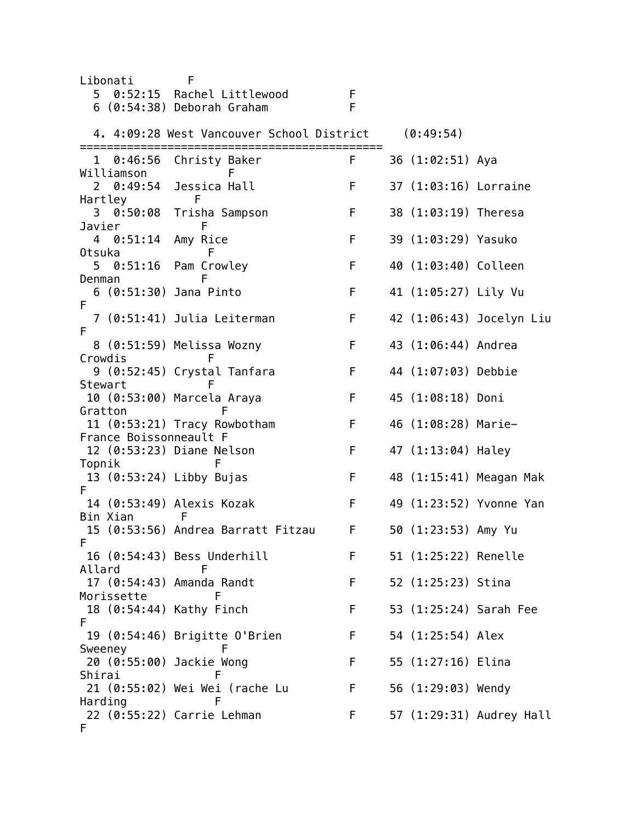| Libonati                               | F                                         |              |                        |                          |
|----------------------------------------|-------------------------------------------|--------------|------------------------|--------------------------|
|                                        | 5 0:52:15 Rachel Littlewood               | F            |                        |                          |
|                                        | 6 (0:54:38) Deborah Graham                | F            |                        |                          |
|                                        | 4. 4:09:28 West Vancouver School District |              | (0:49:54)              |                          |
| $1 \quad 0:46:56$<br>Williamson        | Christy Baker<br>F                        | F            | 36 (1:02:51) Aya       |                          |
| 2<br>Hartley                           | 0:49:54 Jessica Hall<br>F                 | F            | 37 (1:03:16) Lorraine  |                          |
| Javier                                 | 3 0:50:08 Trisha Sampson<br>F             | F            | 38 (1:03:19) Theresa   |                          |
| 4 0:51:14 Amy Rice<br>Otsuka           | F                                         | F            | 39 (1:03:29) Yasuko    |                          |
| Denman                                 | 5 0:51:16 Pam Crowley<br>F                | F            | 40 (1:03:40) Colleen   |                          |
| 6 (0:51:30) Jana Pinto<br>F            |                                           | F            | 41 (1:05:27) Lily Vu   |                          |
| F                                      | 7 (0:51:41) Julia Leiterman               | F            |                        | 42 (1:06:43) Jocelyn Liu |
| Crowdis                                | 8 (0:51:59) Melissa Wozny<br>F            | F            | 43 (1:06:44) Andrea    |                          |
|                                        | 9 (0:52:45) Crystal Tanfara               | F            | 44 (1:07:03) Debbie    |                          |
| Stewart                                | F<br>10 (0:53:00) Marcela Araya           | $\mathsf{F}$ | 45 (1:08:18) Doni      |                          |
| Gratton                                | F                                         |              |                        |                          |
|                                        | 11 (0:53:21) Tracy Rowbotham              | $\mathsf{F}$ | 46 (1:08:28) Marie-    |                          |
| France Boissonneault F                 | 12 (0:53:23) Diane Nelson                 | F            | 47 (1:13:04) Haley     |                          |
| Topnik                                 | F                                         |              |                        |                          |
| 13 (0:53:24) Libby Bujas<br>F          |                                           | F            |                        | 48 (1:15:41) Meagan Mak  |
| Bin Xian                               | 14 (0:53:49) Alexis Kozak<br>F            | F.           |                        | 49 (1:23:52) Yvonne Yan  |
| F                                      | 15 (0:53:56) Andrea Barratt Fitzau        | F.           | 50 (1:23:53) Amy Yu    |                          |
|                                        | 16 (0:54:43) Bess Underhill               | F.           | 51 (1:25:22) Renelle   |                          |
| Allard                                 | F<br>17 (0:54:43) Amanda Randt            | F            | 52 (1:25:23) Stina     |                          |
| Morissette<br>18 (0:54:44) Kathy Finch | F                                         | F            | 53 (1:25:24) Sarah Fee |                          |
| F                                      | 19 (0:54:46) Brigitte O'Brien             | F.           | 54 (1:25:54) Alex      |                          |
| Sweeney<br>20 (0:55:00) Jackie Wong    | F                                         | F.           | 55 (1:27:16) Elina     |                          |
| Shirai                                 | F<br>21 (0:55:02) Wei Wei (rache Lu       | F            | 56 (1:29:03) Wendy     |                          |
| Harding                                | F<br>22 (0:55:22) Carrie Lehman           | F            |                        | 57 (1:29:31) Audrey Hall |
| F                                      |                                           |              |                        |                          |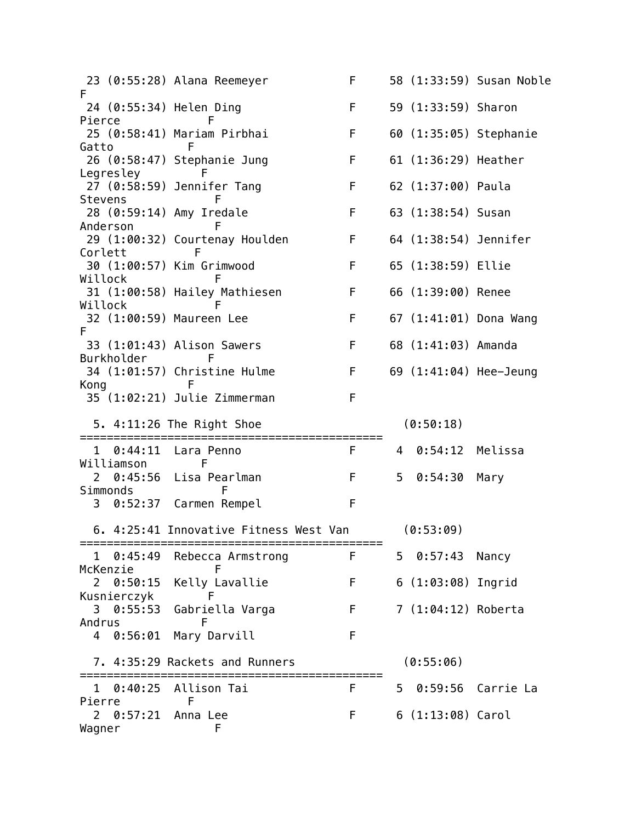23 (0:55:28) Alana Reemeyer F 58 (1:33:59) Susan Noble F 24 (0:55:34) Helen Ding F 59 (1:33:59) Sharon Pierce **F**  25 (0:58:41) Mariam Pirbhai F 60 (1:35:05) Stephanie Gatto F 26 (0:58:47) Stephanie Jung F 61 (1:36:29) Heather Legresley F 27 (0:58:59) Jennifer Tang F 62 (1:37:00) Paula Stevens F 28 (0:59:14) Amy Iredale F 63 (1:38:54) Susan Anderson F 29 (1:00:32) Courtenay Houlden F 64 (1:38:54) Jennifer Corlett F 30 (1:00:57) Kim Grimwood F 65 (1:38:59) Ellie Willock **F**  31 (1:00:58) Hailey Mathiesen F 66 (1:39:00) Renee Willock F 32 (1:00:59) Maureen Lee F 67 (1:41:01) Dona Wang F 33 (1:01:43) Alison Sawers F 68 (1:41:03) Amanda Burkholder F 34 (1:01:57) Christine Hulme F 69 (1:41:04) Hee-Jeung Kong F 35 (1:02:21) Julie Zimmerman F 5. 4:11:26 The Right Shoe (0:50:18) ============================================= 1 0:44:11 Lara Penno F 4 0:54:12 Melissa Williamson F 2 0:45:56 Lisa Pearlman F 5 0:54:30 Mary Simmonds F 3 0:52:37 Carmen Rempel F 6. 4:25:41 Innovative Fitness West Van (0:53:09) ============================================= 1 0:45:49 Rebecca Armstrong F 5 0:57:43 Nancy McKenzie F 2 0:50:15 Kelly Lavallie F 6 (1:03:08) Ingrid Kusnierczyk 3 0:55:53 Gabriella Varga<br>
F 7 (1:04:12) Roberta Andrus F 4 0:56:01 Mary Darvill F 7. 4:35:29 Rackets and Runners (0:55:06) ============================================= 1 0:40:25 Allison Tai F 5 0:59:56 Carrie La Pierre F 2 0:57:21 Anna Lee F 6 (1:13:08) Carol Wagner F